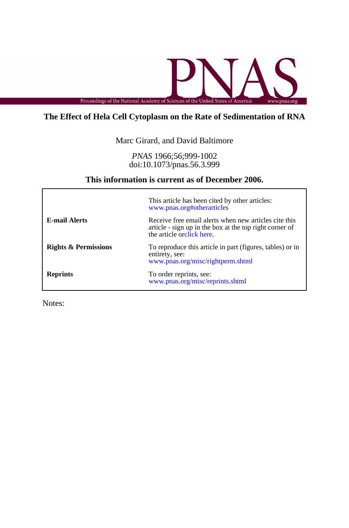

# **The Effect of Hela Cell Cytoplasm on the Rate of Sedimentation of RNA**

Marc Girard, and David Baltimore

doi:10.1073/pnas.56.3.999 *PNAS* 1966;56;999-1002

## **This information is current as of December 2006.**

|                                 | This article has been cited by other articles:<br>www.pnas.org#otherarticles                                                                  |
|---------------------------------|-----------------------------------------------------------------------------------------------------------------------------------------------|
| <b>E-mail Alerts</b>            | Receive free email alerts when new articles cite this<br>article - sign up in the box at the top right corner of<br>the article orclick here. |
| <b>Rights &amp; Permissions</b> | To reproduce this article in part (figures, tables) or in<br>entirety, see:<br>www.pnas.org/misc/rightperm.shtml                              |
| <b>Reprints</b>                 | To order reprints, see:<br>www.pnas.org/misc/reprints.shtml                                                                                   |

Notes: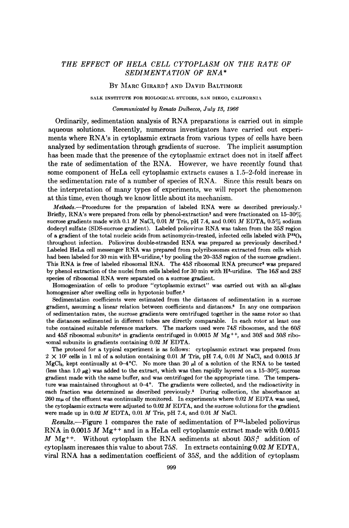## THE EFFECT OF HELA CELL CYTOPLASM ON THE RATE OF SEDIMENTATION OF RNA\*

### BY MARC GIRARD<sup>†</sup> AND DAVID BALTIMORE

SALK INSTITUTE FOR BIOLOGICAL STUDIES, SAN DIEGO, CALIFORNIA

#### Communicated by Renato Dulbecco, July 13, 1966

Ordinarily, sedimentation analysis of RNA preparations is carried out in simple aqueous solutions. Recently, numerous investigators have carried out experiments where RNA's in cytoplasmic extracts from various types of cells have been analyzed by sedimentation through gradients of sucrose. The implicit assumption has been made that the presence of the cytoplasmic extract does not in itself affect the rate of sedimentation of the RNA. However, we have recently found that some component of HeLa cell cytoplasmic extracts causes a 1.5-2-fold increase in the sedimentation rate of a number of species of RNA. Since this result bears on the interpretation of many types of experiments, we will report the phenomenon at this time, even though we know little about its mechanism.

 $Methods$ --Procedures for the preparation of labeled RNA were as described previously.<sup>1</sup> Briefly, RNA's were prepared from cells by phenol-extraction<sup>2</sup> and were fractionated on  $15{\text -}30\%$ sucrose gradients made with 0.1 M NaCl, 0.01 M Tris, pH 7.4, and 0.001 M EDTA, 0.5% sodium dodecyl sulfate (SDS-sucrose gradient). Labeled poliovirus RNA was taken from the 35S region of a gradient of the total nucleic acids from actinomycin-treated, infected cells labeled with  $P^{32}O_4$ throughout infection. Poliovirus double-stranded RNA was prepared as previously described.3 Labeled HeLa cell messenger RNA was prepared from polyribosomes extracted from cells which had been labeled for 30 min with H<sup>3</sup>-uridine,<sup>4</sup> by pooling the 20-35S region of the sucrose gradient. This RNA is free of labeled ribosomal RNA. The 45S ribosomal RNA precursor<sup>2</sup> was prepared by phenol extraction of the nuclei from cells labeled for 30 min with H<sup>3</sup>-uridine. The 16S and 28S species of ribosomal RNA were separated on <sup>a</sup> sucrose gradient.

Homogenization of cells to produce "cytoplasmic extract" was carried out with an all-glass homogenizer after swelling cells in hypotonic buffer.<sup>5</sup>

Sedimentation coefficients were estimated from the distances of sedimentation in a sucrose gradient, assuming a linear relation between coefficients and distances.6 In any one comparison of sedimentation rates, the sucrose gradients were centrifuged together in the same rotor so that the distances sedimented in different tubes are directly comparable. In each rotor at least one tube contained suitable reference markers. The markers used were 74S ribosomes, and the 60S and 45S ribosomal subunits<sup>4</sup> in gradients centrifuged in 0.0015 M  $Mg^{++}$ , and 30S and 50S ribosomal subunits in gradients containing 0.02 M EDTA.

The protocol for a typical experiment is as follows: cytoplasmic extract was prepared from  $2 \times 10^7$  cells in 1 ml of a solution containing 0.01 M Tris, pH 7.4, 0.01 M NaCl, and 0.0015 M MgCl<sub>2</sub>, kept continually at  $0-4^{\circ}$ C. No more than 20  $\mu$ l of a solution of the RNA to be tested (less than 1.0  $\mu$ g) was added to the extract, which was then rapidly layered on a 15-30% sucrose gradient made with the same buffer, and was centrifuged for the appropriate time. The temperature was maintained throughout at 0-4°. The gradients were collected, and the radioactivity in each fraction was determined as described previously.<sup>5</sup> During collection, the absorbance at  $260 \text{ m}\mu$  of the effluent was continually monitored. In experiments where 0.02 M EDTA was used, the cytoplasmic extracts were adjusted to  $0.02 M$  EDTA, and the sucrose solutions for the gradient were made up in 0.02 M EDTA, 0.01 M Tris, pH 7.4, and 0.01 M NaCl.

Results.—Figure 1 compares the rate of sedimentation of  $P^{32}$ -labeled poliovirus RNA in 0.0015 M Mg<sup>++</sup> and in a HeLa cell cytoplasmic extract made with  $0.0015$ M Mg<sup>++</sup>. Without cytoplasm the RNA sediments at about  $50S$ ;<sup>7</sup> addition of cytoplasm increases this value to about  $75S$ . In extracts containing 0.02 M EDTA, viral RNA has <sup>a</sup> sedimentation coefficient of 35S, and the addition of cytoplasm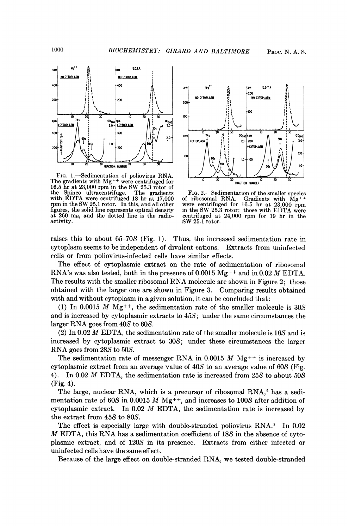

FIG. 1.—Sedimentation of poliovirus RNA.  $h$   $\overrightarrow{h}$   $\overrightarrow{h}$   $\overrightarrow{h}$   $\overrightarrow{h}$   $\overrightarrow{h}$   $\overrightarrow{h}$   $\overrightarrow{h}$   $\overrightarrow{h}$   $\overrightarrow{h}$   $\overrightarrow{h}$   $\overrightarrow{h}$   $\overrightarrow{h}$   $\overrightarrow{h}$   $\overrightarrow{h}$   $\overrightarrow{h}$   $\overrightarrow{h}$   $\overrightarrow{h}$   $\overrightarrow{h}$   $\overrightarrow{h}$   $\overrightarrow{$ Fig. 1.—Sedimentation of poliovirus RNA.<br>20 30 10 20 30 10 20 30 10 30 10 30 10 30 10 30 10 30 10 30 10 30 10 30 10 30 10 30 30 10 30 30 10 30 30 30 10 16.5 hr at 23,000 rpm in the SW 25.3 rotor of<br>the Spinco ultracentrifuge. The gradients the Spinco ultracentrifuge. The gradients FIG. 2.—Sedimentation of the smaller species with EDTA were centrifuged 18 hr at 17,000 of ribosomal RNA. Gradients with Mg<sup>++</sup> rpm in the SW 25.1 rotor. In this, and all other wer with EDTA were centrifuged 18 hr at 17,000 of ribosomal RNA. Gradients with Mg<sup>++</sup><br>rpm in the SW 25.1 rotor. In this, and all other were centrifuged for 16.5 hr at 23,000 rpm figures, the solid line represents optical density in the SW 25.3 rotor; those with EDTA were at 260  $m\mu$ , and the dotted line is the radio-entrifuged at 24,000 rpm for 19 hr in the at  $260 \text{ m}\mu$ , and the dotted line is the radio-<br>activity.<br>SW 25.1 rotor.



 $SW 25.1$  rotor.

raises this to about 65-70S (Fig. 1). Thus, the increased sedimentation rate in cytoplasm seems to be independent of divalent cations. Extracts from uninfected cells or from poliovirus-infected cells have similar effects.

The effect of cytoplasmic extract on the rate of sedimentation of ribosomal RNA's was also tested, both in the presence of  $0.0015 \text{ Mg}^{++}$  and in  $0.02 \text{ M}$  EDTA. The results with the smaller ribosomal RNA molecule are shown in Figure 2; those obtained with the larger one are shown in Figure 3. Comparing results obtained with and without cytoplasm in a given solution, it can be concluded that:

(1) In 0.0015 M Mg<sup>++</sup>, the sedimentation rate of the smaller molecule is  $30S$ and is increased by cytoplasmic extracts to 45S; under the same circumstances the larger RNA goes from 40S to 60S.

(2) In 0.02 M EDTA, the sedimentation rate of the smaller molecule is 16S and is increased by cytoplasmic extract to 30S; under these circumstances the larger RNA goes from 28S to 50S.

The sedimentation rate of messenger RNA in 0.0015  $M$  Mg<sup>++</sup> is increased by cytoplasmic extract from an average value of 40S to an average value of 60S (Fig. 4). In 0.02 M EDTA, the sedimentation rate is increased from 25S to about 50S (Fig. 4).

The large, nuclear RNA, which is a precursor of ribosomal RNA,<sup>2</sup> has a sedimentation rate of 60S in 0.0015 M Mg<sup>++</sup>, and increases to 100S after addition of cytoplasmic extract. In  $0.02$  *M* EDTA, the sedimentation rate is increased by the extract from 45S to 80S.

The effect is especially large with double-stranded poliovirus RNA.3 In 0.02 M EDTA, this RNA has <sup>a</sup> sedimentation coefficient of 18S in the absence of cytoplasmic extract, and of 120S in its presence. Extracts from either infected or uninfected cells have the same effect.

Because of the large effect on double-stranded RNA, we tested double-stranded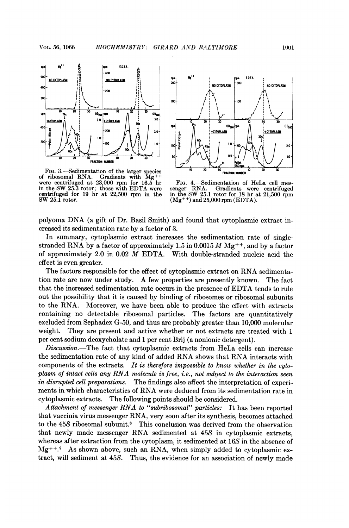

FIG. 3. Sedimentation of the larger species  $0$   $20$   $30$  FRACTION NUMBER of ribosomal RNA. Gradients with Mg<sup>++</sup><br>were centrifuged at 23,000 rpm for 16.5 hr FIG. 4.—Sedimentation of HeLa cell mescentrifuged for 19 hr at 22,500 rpm in the in the SW 25.1 rotor for 18 hr a SW 25.1 rotor.  $(Mg^{++})$  and 25,000 rpm (EDTA).



in the SW 25.3 rotor; those with EDTA were senger RNA. Gradients were centrifuged centrifuged for <sup>19</sup> hr at 22,500 rpm in the in the SW 25.1 rotor for <sup>18</sup> hr at 21,500 rpm

polyoma DNA (a gift of Dr. Basil Smith) and found that cytoplasmic extract increased its sedimentation rate by a factor of 3.

In summary, cytoplasmic extract increases the sedimentation rate of singlestranded RNA by a factor of approximately 1.5 in 0.0015  $M$  Mg<sup>++</sup>, and by a factor of approximately 2.0 in 0.02 M EDTA. With double-stranded nucleic acid the effect is even greater.

The factors responsible for the effect of cytoplasmic extract on RNA sedimentation rate are now under study. A few properties are presently known. The fact that the increased sedimentation rate occurs in the presence of EDTA tends to rule out the possibility that it is caused by binding of ribosomes or ribosomal subunits to the RNA. Moreover, we have been able to produce the effect with extracts containing no detectable ribosomal particles. The factors are quantitatively excluded from Sephadex G-50, and thus are probably greater than 10,000 molecular weight. They are present and active whether or not extracts are treated with <sup>1</sup> per cent sodium deoxycholate and <sup>1</sup> per cent Brij (a nonionic detergent).

Discussion.-The fact that cytoplasmic extracts from HeLa cells can increase the sedimentation rate of any kind of added RNA shows that RNA interacts with components of the extracts. It is therefore impossible to know whether in the cytoplasm of intact cells any RNA molecule is free, i.e., not subject to the interaction seen in disrupted cell preparations. The findings also affect the interpretation of experiments in which characteristics of RNA were deduced from its sedimentation rate in cytoplasmic extracts. The following points should be considered. The following points should be considered.

Attachment of messenger RNA to "subribosomal" particles: It has been reported that vaccinia virus messenger RNA, very soon after its synthesis, becomes attached to the 45S ribosomal subunit.8 This conclusion was derived from the observation that newly made messenger RNA sedimented at 45S in cytoplasmic extracts, whereas after extraction from the cytoplasm, it sedimented at 16S in the absence of  $Mg^{++}$ .<sup>9</sup> As shown above, such an RNA, when simply added to cytoplasmic extract, will sediment at 45S. Thus, the evidence for an association of newly made